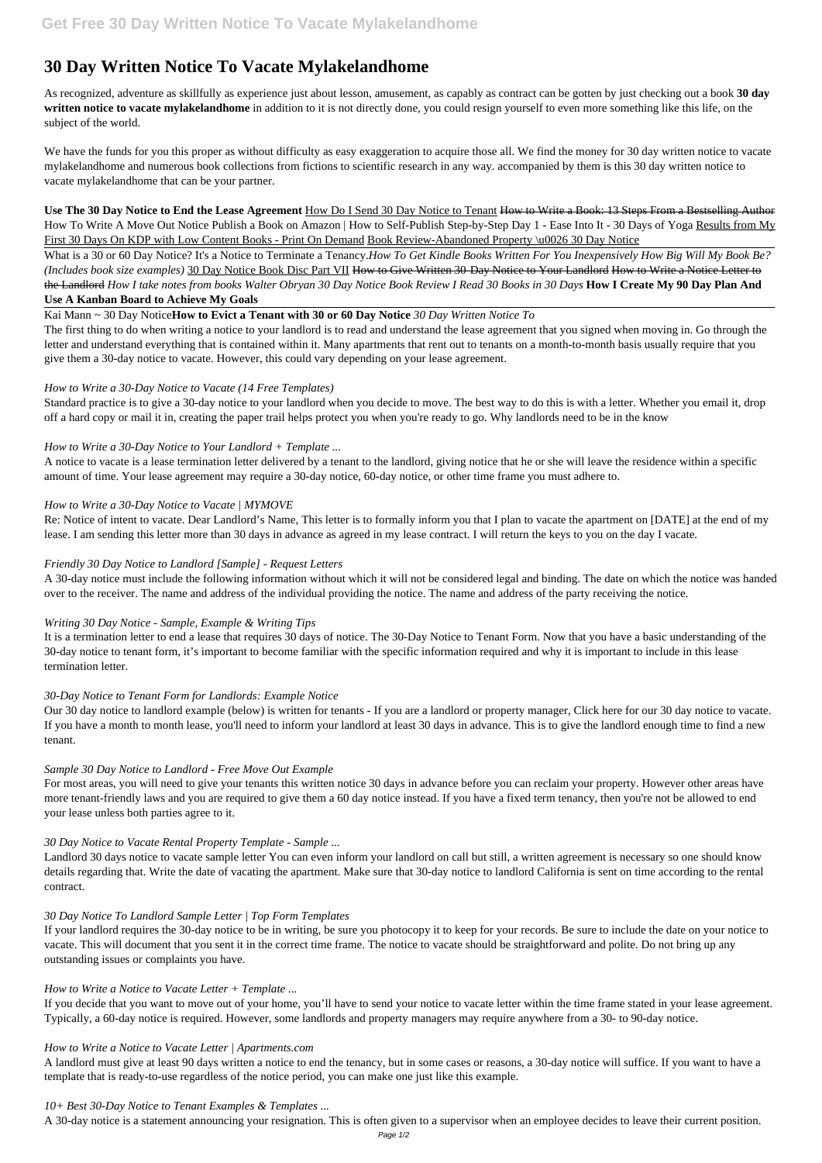# **30 Day Written Notice To Vacate Mylakelandhome**

As recognized, adventure as skillfully as experience just about lesson, amusement, as capably as contract can be gotten by just checking out a book **30 day written notice to vacate mylakelandhome** in addition to it is not directly done, you could resign yourself to even more something like this life, on the subject of the world.

We have the funds for you this proper as without difficulty as easy exaggeration to acquire those all. We find the money for 30 day written notice to vacate mylakelandhome and numerous book collections from fictions to scientific research in any way. accompanied by them is this 30 day written notice to vacate mylakelandhome that can be your partner.

**Use The 30 Day Notice to End the Lease Agreement** How Do I Send 30 Day Notice to Tenant How to Write a Book: 13 Steps From a Bestselling Author How To Write A Move Out Notice Publish a Book on Amazon | How to Self-Publish Step-by-Step Day 1 - Ease Into It - 30 Days of Yoga Results from My First 30 Days On KDP with Low Content Books - Print On Demand Book Review-Abandoned Property \u0026 30 Day Notice

What is a 30 or 60 Day Notice? It's a Notice to Terminate a Tenancy.*How To Get Kindle Books Written For You Inexpensively How Big Will My Book Be? (Includes book size examples)* 30 Day Notice Book Disc Part VII How to Give Written 30-Day Notice to Your Landlord How to Write a Notice Letter to the Landlord *How I take notes from books Walter Obryan 30 Day Notice Book Review I Read 30 Books in 30 Days* **How I Create My 90 Day Plan And Use A Kanban Board to Achieve My Goals**

## Kai Mann ~ 30 Day Notice**How to Evict a Tenant with 30 or 60 Day Notice** *30 Day Written Notice To*

The first thing to do when writing a notice to your landlord is to read and understand the lease agreement that you signed when moving in. Go through the letter and understand everything that is contained within it. Many apartments that rent out to tenants on a month-to-month basis usually require that you give them a 30-day notice to vacate. However, this could vary depending on your lease agreement.

## *How to Write a 30-Day Notice to Vacate (14 Free Templates)*

Standard practice is to give a 30-day notice to your landlord when you decide to move. The best way to do this is with a letter. Whether you email it, drop off a hard copy or mail it in, creating the paper trail helps protect you when you're ready to go. Why landlords need to be in the know

## *How to Write a 30-Day Notice to Your Landlord + Template ...*

A notice to vacate is a lease termination letter delivered by a tenant to the landlord, giving notice that he or she will leave the residence within a specific amount of time. Your lease agreement may require a 30-day notice, 60-day notice, or other time frame you must adhere to.

## *How to Write a 30-Day Notice to Vacate | MYMOVE*

Re: Notice of intent to vacate. Dear Landlord's Name, This letter is to formally inform you that I plan to vacate the apartment on [DATE] at the end of my lease. I am sending this letter more than 30 days in advance as agreed in my lease contract. I will return the keys to you on the day I vacate.

## *Friendly 30 Day Notice to Landlord [Sample] - Request Letters*

A 30-day notice must include the following information without which it will not be considered legal and binding. The date on which the notice was handed over to the receiver. The name and address of the individual providing the notice. The name and address of the party receiving the notice.

## *Writing 30 Day Notice - Sample, Example & Writing Tips*

It is a termination letter to end a lease that requires 30 days of notice. The 30-Day Notice to Tenant Form. Now that you have a basic understanding of the 30-day notice to tenant form, it's important to become familiar with the specific information required and why it is important to include in this lease termination letter.

## *30-Day Notice to Tenant Form for Landlords: Example Notice*

Our 30 day notice to landlord example (below) is written for tenants - If you are a landlord or property manager, Click here for our 30 day notice to vacate. If you have a month to month lease, you'll need to inform your landlord at least 30 days in advance. This is to give the landlord enough time to find a new tenant.

## *Sample 30 Day Notice to Landlord - Free Move Out Example*

For most areas, you will need to give your tenants this written notice 30 days in advance before you can reclaim your property. However other areas have more tenant-friendly laws and you are required to give them a 60 day notice instead. If you have a fixed term tenancy, then you're not be allowed to end your lease unless both parties agree to it.

## *30 Day Notice to Vacate Rental Property Template - Sample ...*

Landlord 30 days notice to vacate sample letter You can even inform your landlord on call but still, a written agreement is necessary so one should know details regarding that. Write the date of vacating the apartment. Make sure that 30-day notice to landlord California is sent on time according to the rental

contract.

#### *30 Day Notice To Landlord Sample Letter | Top Form Templates*

If your landlord requires the 30-day notice to be in writing, be sure you photocopy it to keep for your records. Be sure to include the date on your notice to vacate. This will document that you sent it in the correct time frame. The notice to vacate should be straightforward and polite. Do not bring up any outstanding issues or complaints you have.

#### *How to Write a Notice to Vacate Letter + Template ...*

If you decide that you want to move out of your home, you'll have to send your notice to vacate letter within the time frame stated in your lease agreement. Typically, a 60-day notice is required. However, some landlords and property managers may require anywhere from a 30- to 90-day notice.

#### *How to Write a Notice to Vacate Letter | Apartments.com*

A landlord must give at least 90 days written a notice to end the tenancy, but in some cases or reasons, a 30-day notice will suffice. If you want to have a template that is ready-to-use regardless of the notice period, you can make one just like this example.

#### *10+ Best 30-Day Notice to Tenant Examples & Templates ...*

A 30-day notice is a statement announcing your resignation. This is often given to a supervisor when an employee decides to leave their current position.